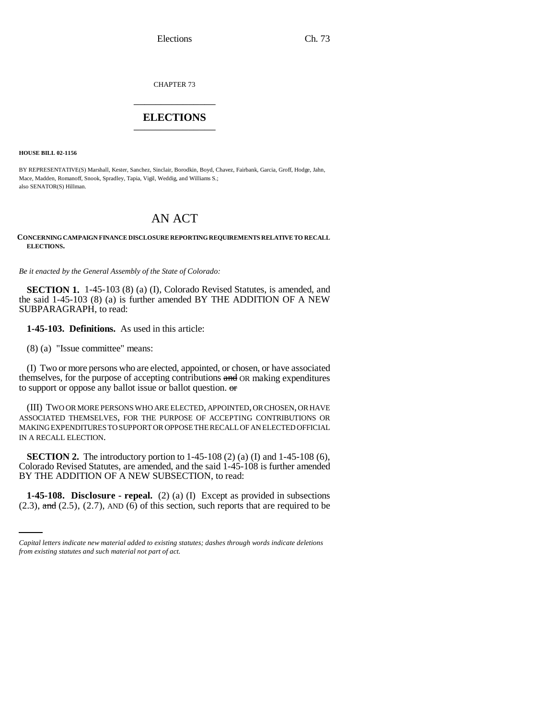Elections Ch. 73

CHAPTER 73 \_\_\_\_\_\_\_\_\_\_\_\_\_\_\_

## **ELECTIONS** \_\_\_\_\_\_\_\_\_\_\_\_\_\_\_

**HOUSE BILL 02-1156**

BY REPRESENTATIVE(S) Marshall, Kester, Sanchez, Sinclair, Borodkin, Boyd, Chavez, Fairbank, Garcia, Groff, Hodge, Jahn, Mace, Madden, Romanoff, Snook, Spradley, Tapia, Vigil, Weddig, and Williams S.; also SENATOR(S) Hillman.

## AN ACT

**CONCERNING CAMPAIGN FINANCE DISCLOSURE REPORTING REQUIREMENTS RELATIVE TO RECALL ELECTIONS.**

*Be it enacted by the General Assembly of the State of Colorado:*

**SECTION 1.** 1-45-103 (8) (a) (I), Colorado Revised Statutes, is amended, and the said 1-45-103 (8) (a) is further amended BY THE ADDITION OF A NEW SUBPARAGRAPH, to read:

**1-45-103. Definitions.** As used in this article:

(8) (a) "Issue committee" means:

(I) Two or more persons who are elected, appointed, or chosen, or have associated themselves, for the purpose of accepting contributions and OR making expenditures to support or oppose any ballot issue or ballot question. or

(III) TWO OR MORE PERSONS WHO ARE ELECTED, APPOINTED, OR CHOSEN, OR HAVE ASSOCIATED THEMSELVES, FOR THE PURPOSE OF ACCEPTING CONTRIBUTIONS OR MAKING EXPENDITURES TO SUPPORT OR OPPOSE THE RECALL OF AN ELECTED OFFICIAL IN A RECALL ELECTION.

**SECTION 2.** The introductory portion to 1-45-108 (2) (a) (I) and 1-45-108 (6), Colorado Revised Statutes, are amended, and the said 1-45-108 is further amended BY THE ADDITION OF A NEW SUBSECTION, to read:

**1-45-108. Disclosure - repeal.** (2) (a) (I) Except as provided in subsections  $(2.3)$ , and  $(2.5)$ ,  $(2.7)$ , AND  $(6)$  of this section, such reports that are required to be

*Capital letters indicate new material added to existing statutes; dashes through words indicate deletions from existing statutes and such material not part of act.*